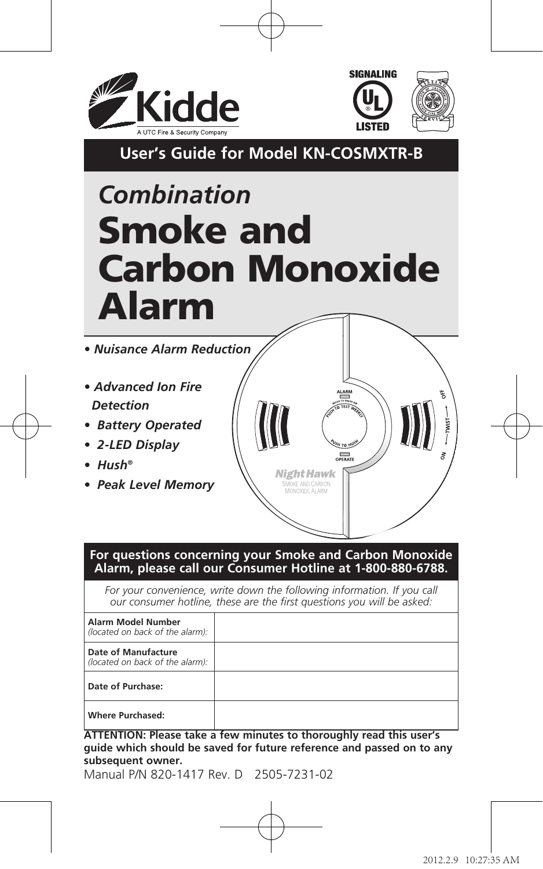



**User's Guide for Model KN-COSMXTR-B**

# *Combination* Smoke and Carbon Monoxide Alarm

*• Nuisance Alarm Reduction* 

- *• Advanced Ion Fire Detection*
- *• Battery Operated*
- *• 2-LED Display*
- *• Hush®*
- *• Peak Level Memory*



#### **For questions concerning your Smoke and Carbon Monoxide Alarm, please call our Consumer Hotline at 1-800-880-6788.**

*For your convenience, write down the following information. If you call our consumer hotline, these are the first questions you will be asked:*

| Alarm Model Number<br>(located on back of the alarm):  |  |
|--------------------------------------------------------|--|
| Date of Manufacture<br>(located on back of the alarm): |  |
| Date of Purchase:                                      |  |
| Where Purchased:                                       |  |

**ATTENTION: Please take a few minutes to thoroughly read this user's guide which should be saved for future reference and passed on to any subsequent owner.**

Manual P/N 820-1417 Rev. D 2505-7231-02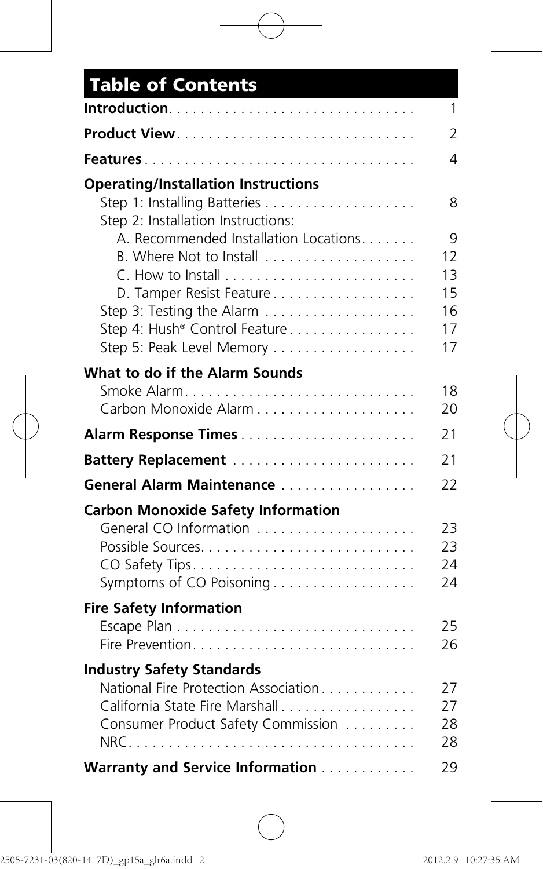| <b>Table of Contents</b>                   |          |
|--------------------------------------------|----------|
|                                            | 1        |
|                                            | 2        |
|                                            | 4        |
| <b>Operating/Installation Instructions</b> |          |
| Step 2: Installation Instructions:         | 8        |
| A. Recommended Installation Locations      | 9        |
| B. Where Not to Install                    | 12       |
| D. Tamper Resist Feature                   | 13<br>15 |
|                                            | 16       |
| Step 4: Hush® Control Feature              | 17       |
| Step 5: Peak Level Memory                  | 17       |
| What to do if the Alarm Sounds             |          |
|                                            | 18       |
|                                            | 20       |
|                                            |          |
| Battery Replacement                        |          |
| General Alarm Maintenance                  | 22       |
| <b>Carbon Monoxide Safety Information</b>  |          |
| General CO Information                     | 23       |
|                                            | 23       |
| Symptoms of CO Poisoning                   | 24<br>24 |
|                                            |          |
| <b>Fire Safety Information</b>             | 25       |
|                                            | 26       |
| <b>Industry Safety Standards</b>           |          |
| National Fire Protection Association       | 27       |
| California State Fire Marshall             | 27       |
| Consumer Product Safety Commission         | 28       |
|                                            | 28       |
| Warranty and Service Information           | 29       |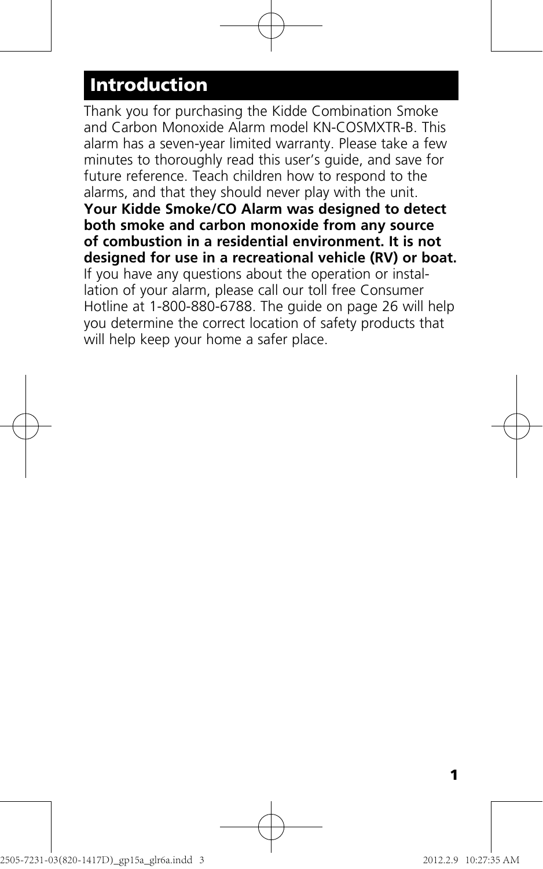## **Introduction**

Thank you for purchasing the Kidde Combination Smoke and Carbon Monoxide Alarm model KN-COSMXTR-B. This alarm has a seven-year limited warranty. Please take a few minutes to thoroughly read this user's guide, and save for future reference. Teach children how to respond to the alarms, and that they should never play with the unit. **Your Kidde Smoke/CO Alarm was designed to detect both smoke and carbon monoxide from any source of combustion in a residential environment. It is not designed for use in a recreational vehicle (RV) or boat.** If you have any questions about the operation or installation of your alarm, please call our toll free Consumer Hotline at 1-800-880-6788. The guide on page 26 will help you determine the correct location of safety products that will help keep your home a safer place.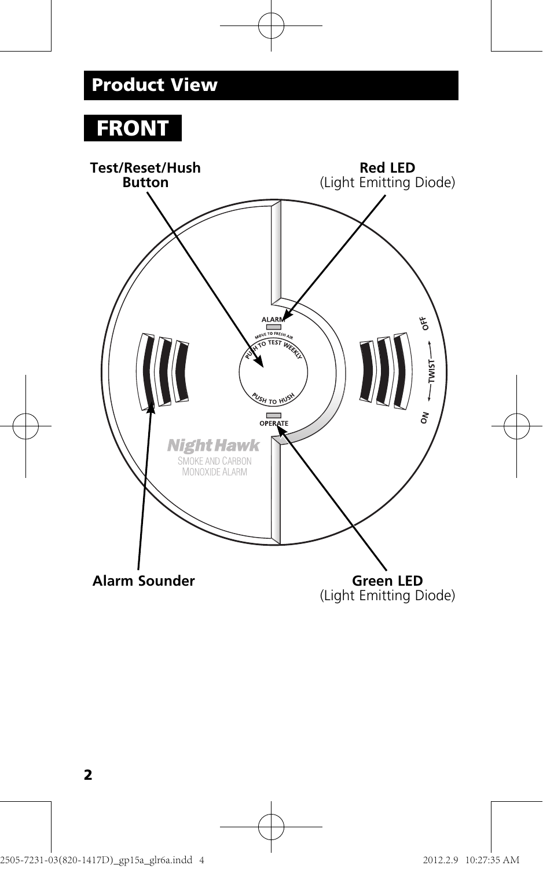# **FRONT**

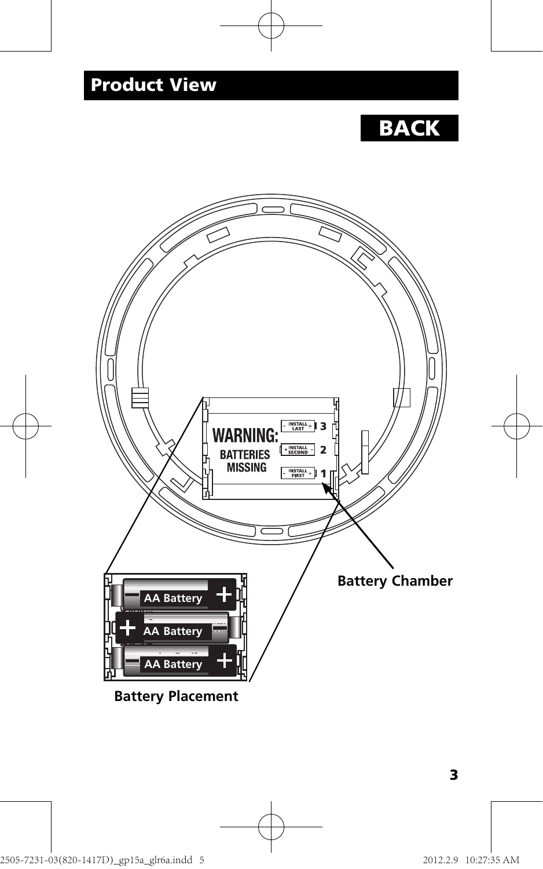# **BACK**



**Battery Placement**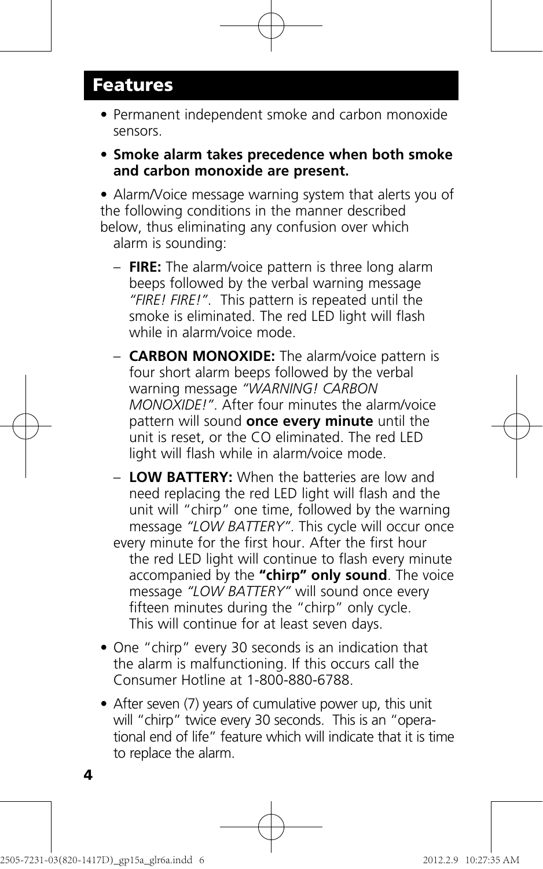### **Features**

- Permanent independent smoke and carbon monoxide sensors.
- **Smoke alarm takes precedence when both smoke and carbon monoxide are present.**

 • Alarm/Voice message warning system that alerts you of the following conditions in the manner described below, thus eliminating any confusion over which alarm is sounding:

- **FIRE:** The alarm/voice pattern is three long alarm beeps followed by the verbal warning message *"FIRE! FIRE!"*. This pattern is repeated until the smoke is eliminated. The red LED light will flash while in alarm/voice mode.
- **CARBON MONOXIDE:** The alarm/voice pattern is four short alarm beeps followed by the verbal warning message *"WARNING! CARBON MONOXIDE!"*. After four minutes the alarm/voice pattern will sound **once every minute** until the unit is reset, or the CO eliminated. The red LED light will flash while in alarm/voice mode.
- **LOW BATTERY:** When the batteries are low and need replacing the red LED light will flash and the unit will "chirp" one time, followed by the warning message *"LOW BATTERY"*. This cycle will occur once every minute for the first hour. After the first hour the red LED light will continue to flash every minute accompanied by the **"chirp" only sound**. The voice message *"LOW BATTERY"* will sound once every fifteen minutes during the "chirp" only cycle. This will continue for at least seven days.
- One "chirp" every 30 seconds is an indication that the alarm is malfunctioning. If this occurs call the Consumer Hotline at 1-800-880-6788.
- After seven (7) years of cumulative power up, this unit will "chirp" twice every 30 seconds. This is an "opera tional end of life" feature which will indicate that it is time to replace the alarm.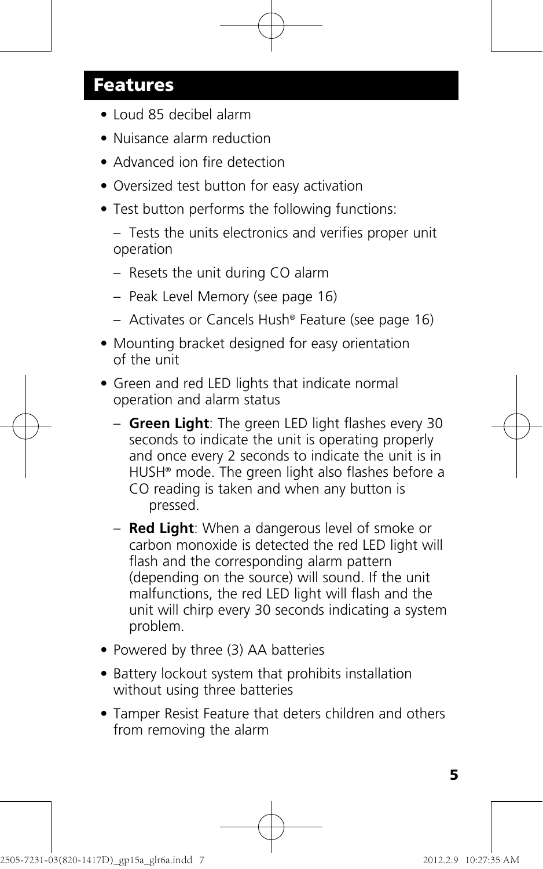### **Features**

- Loud 85 decibel alarm
- Nuisance alarm reduction
- Advanced ion fire detection
- Oversized test button for easy activation
- Test button performs the following functions:

 – Tests the units electronics and verifies proper unit operation

- Resets the unit during CO alarm
- Peak Level Memory (see page 16)
- Activates or Cancels Hush® Feature (see page 16)
- Mounting bracket designed for easy orientation of the unit
- Green and red LED lights that indicate normal operation and alarm status
	- **Green Light**: The green LED light flashes every 30 seconds to indicate the unit is operating properly and once every 2 seconds to indicate the unit is in HUSH® mode. The green light also flashes before a CO reading is taken and when any button is pressed.
	- **Red Light**: When a dangerous level of smoke or carbon monoxide is detected the red LED light will flash and the corresponding alarm pattern (depending on the source) will sound. If the unit malfunctions, the red LED light will flash and the unit will chirp every 30 seconds indicating a system problem.
- Powered by three (3) AA batteries
- Battery lockout system that prohibits installation without using three batteries
- Tamper Resist Feature that deters children and others from removing the alarm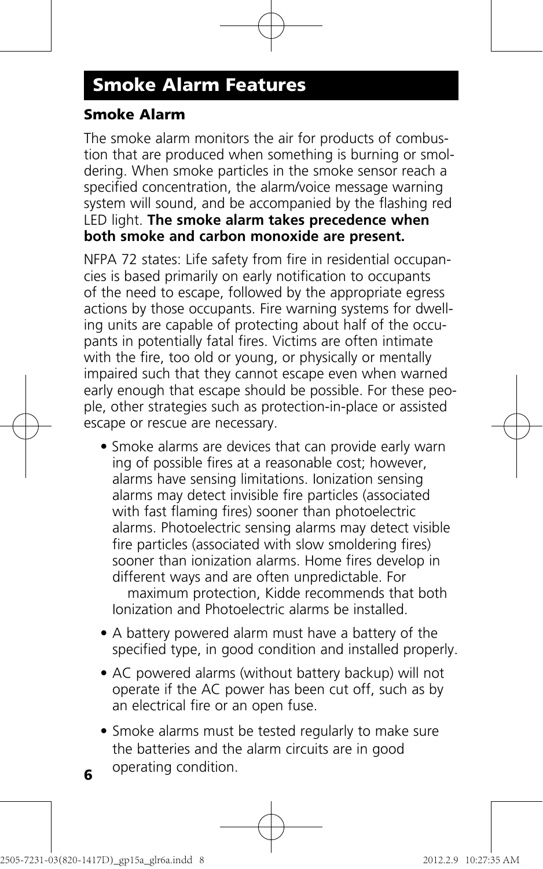### **Smoke Alarm Features**

#### **Smoke Alarm**

The smoke alarm monitors the air for products of combustion that are produced when something is burning or smoldering. When smoke particles in the smoke sensor reach a specified concentration, the alarm/voice message warning system will sound, and be accompanied by the flashing red LED light. **The smoke alarm takes precedence when both smoke and carbon monoxide are present.** 

NFPA 72 states: Life safety from fire in residential occupancies is based primarily on early notification to occupants of the need to escape, followed by the appropriate egress actions by those occupants. Fire warning systems for dwelling units are capable of protecting about half of the occupants in potentially fatal fires. Victims are often intimate with the fire, too old or young, or physically or mentally impaired such that they cannot escape even when warned early enough that escape should be possible. For these people, other strategies such as protection-in-place or assisted escape or rescue are necessary.

- Smoke alarms are devices that can provide early warn ing of possible fires at a reasonable cost; however, alarms have sensing limitations. Ionization sensing alarms may detect invisible fire particles (associated with fast flaming fires) sooner than photoelectric alarms. Photoelectric sensing alarms may detect visible fire particles (associated with slow smoldering fires) sooner than ionization alarms. Home fires develop in different ways and are often unpredictable. For maximum protection, Kidde recommends that both Ionization and Photoelectric alarms be installed.
- A battery powered alarm must have a battery of the specified type, in good condition and installed properly.
- AC powered alarms (without battery backup) will not operate if the AC power has been cut off, such as by an electrical fire or an open fuse.
- Smoke alarms must be tested regularly to make sure the batteries and the alarm circuits are in good operating condition. **<sup>6</sup>**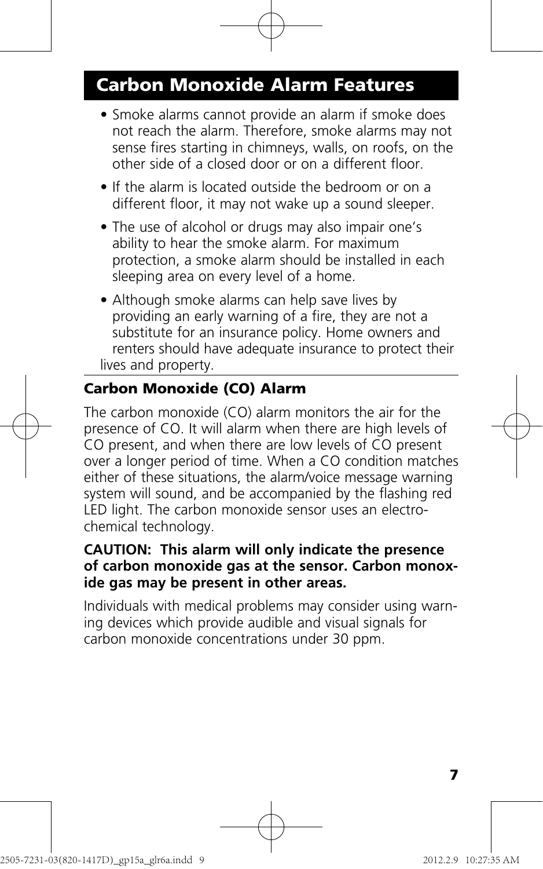### **Carbon Monoxide Alarm Features**

- Smoke alarms cannot provide an alarm if smoke does not reach the alarm. Therefore, smoke alarms may not sense fires starting in chimneys, walls, on roofs, on the other side of a closed door or on a different floor.
- If the alarm is located outside the bedroom or on a different floor, it may not wake up a sound sleeper.
- The use of alcohol or drugs may also impair one's ability to hear the smoke alarm. For maximum protection, a smoke alarm should be installed in each sleeping area on every level of a home.
- Although smoke alarms can help save lives by providing an early warning of a fire, they are not a substitute for an insurance policy. Home owners and renters should have adequate insurance to protect their lives and property.

#### **Carbon Monoxide (CO) Alarm**

The carbon monoxide (CO) alarm monitors the air for the presence of CO. It will alarm when there are high levels of CO present, and when there are low levels of CO present over a longer period of time. When a CO condition matches either of these situations, the alarm/voice message warning system will sound, and be accompanied by the flashing red LED light. The carbon monoxide sensor uses an electrochemical technology.

#### **CAUTION: This alarm will only indicate the presence of carbon monoxide gas at the sensor. Carbon monoxide gas may be present in other areas.**

Individuals with medical problems may consider using warning devices which provide audible and visual signals for carbon monoxide concentrations under 30 ppm.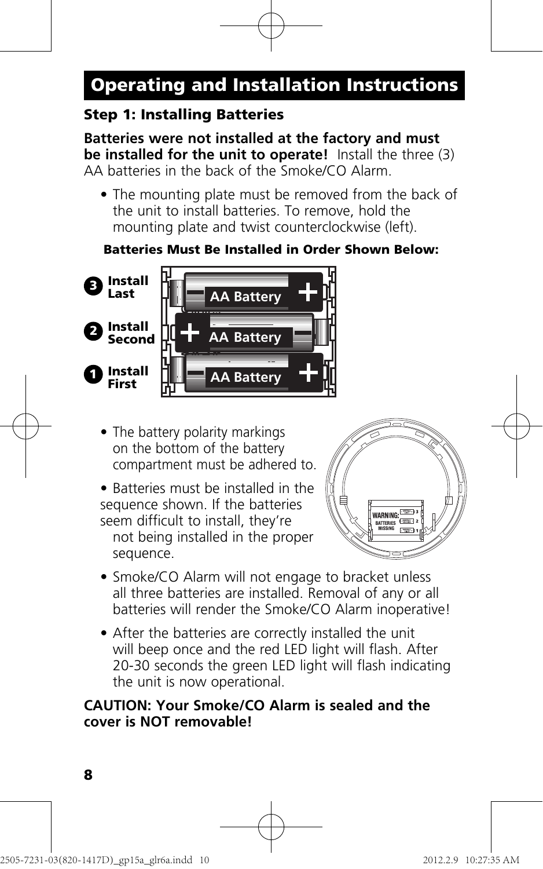#### **Step 1: Installing Batteries**

**Batteries were not installed at the factory and must be installed for the unit to operate!** Install the three (3) AA batteries in the back of the Smoke/CO Alarm.

 • The mounting plate must be removed from the back of the unit to install batteries. To remove, hold the mounting plate and twist counterclockwise (left).

#### **Batteries Must Be Installed in Order Shown Below:**



- The battery polarity markings on the bottom of the battery compartment must be adhered to.
- Batteries must be installed in the sequence shown. If the batteries seem difficult to install, they're not being installed in the proper sequence.



- Smoke/CO Alarm will not engage to bracket unless all three batteries are installed. Removal of any or all batteries will render the Smoke/CO Alarm inoperative!
- After the batteries are correctly installed the unit will beep once and the red LED light will flash. After 20-30 seconds the green LED light will flash indicating the unit is now operational.

#### **CAUTION: Your Smoke/CO Alarm is sealed and the cover is NOT removable!**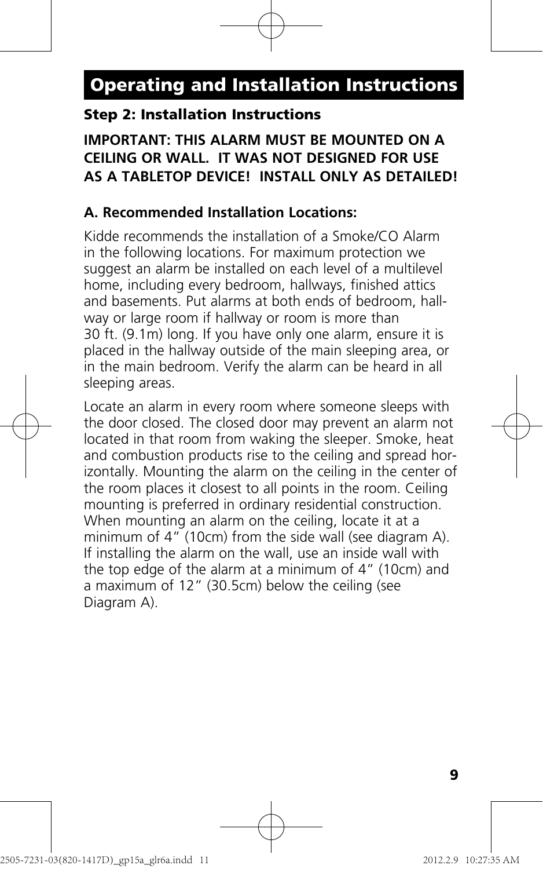#### **Step 2: Installation Instructions**

#### **IMPORTANT: THIS ALARM MUST BE MOUNTED ON A CEILING OR WALL. IT WAS NOT DESIGNED FOR USE AS A TABLETOP DEVICE! INSTALL ONLY AS DETAILED!**

#### **A. Recommended Installation Locations:**

Kidde recommends the installation of a Smoke/CO Alarm in the following locations. For maximum protection we suggest an alarm be installed on each level of a multilevel home, including every bedroom, hallways, finished attics and basements. Put alarms at both ends of bedroom, hallway or large room if hallway or room is more than 30 ft. (9.1m) long. If you have only one alarm, ensure it is placed in the hallway outside of the main sleeping area, or in the main bedroom. Verify the alarm can be heard in all sleeping areas.

Locate an alarm in every room where someone sleeps with the door closed. The closed door may prevent an alarm not located in that room from waking the sleeper. Smoke, heat and combustion products rise to the ceiling and spread horizontally. Mounting the alarm on the ceiling in the center of the room places it closest to all points in the room. Ceiling mounting is preferred in ordinary residential construction. When mounting an alarm on the ceiling, locate it at a minimum of 4" (10cm) from the side wall (see diagram A). If installing the alarm on the wall, use an inside wall with the top edge of the alarm at a minimum of 4" (10cm) and a maximum of 12" (30.5cm) below the ceiling (see Diagram A).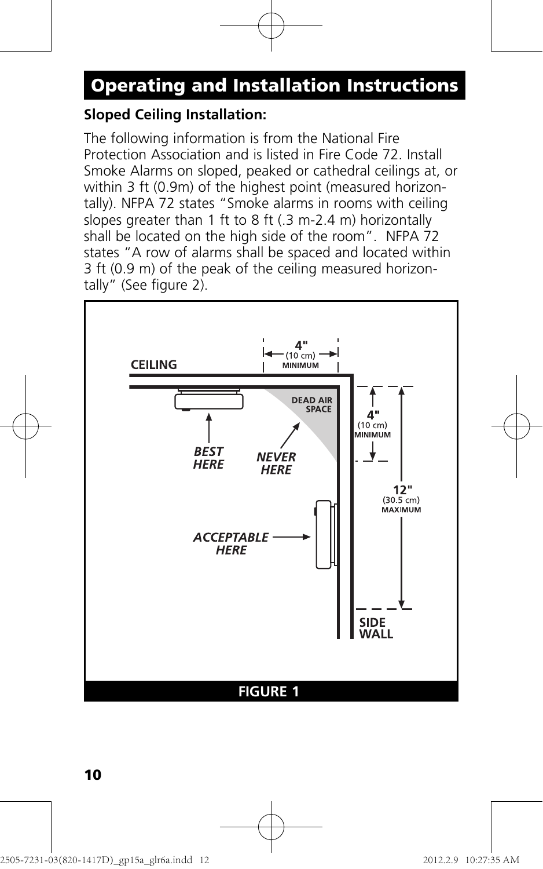#### **Sloped Ceiling Installation:**

The following information is from the National Fire Protection Association and is listed in Fire Code 72. Install Smoke Alarms on sloped, peaked or cathedral ceilings at, or within 3 ft (0.9m) of the highest point (measured horizontally). NFPA 72 states "Smoke alarms in rooms with ceiling slopes greater than 1 ft to 8 ft (.3 m-2.4 m) horizontally shall be located on the high side of the room". NFPA 72 states "A row of alarms shall be spaced and located within 3 ft (0.9 m) of the peak of the ceiling measured horizontally" (See figure 2).

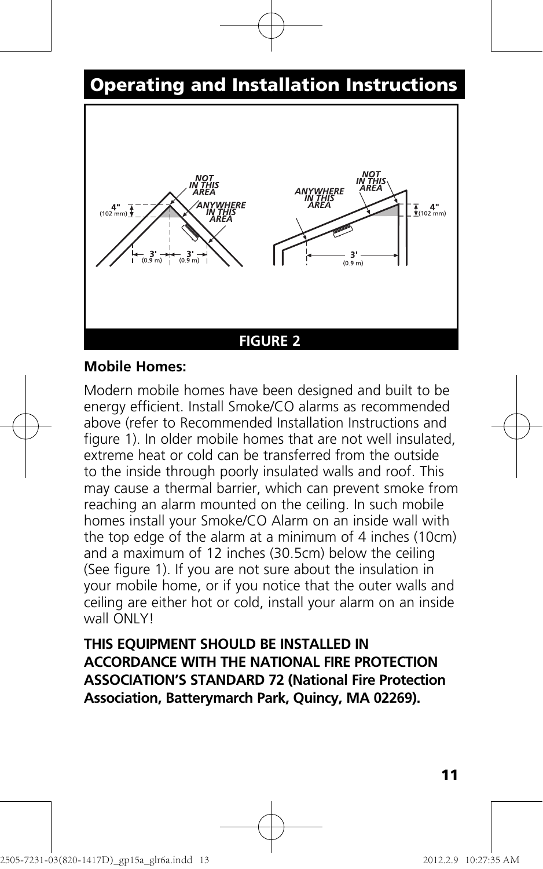

#### **Mobile Homes:**

Modern mobile homes have been designed and built to be energy efficient. Install Smoke/CO alarms as recommended above (refer to Recommended Installation Instructions and figure 1). In older mobile homes that are not well insulated extreme heat or cold can be transferred from the outside to the inside through poorly insulated walls and roof. This may cause a thermal barrier, which can prevent smoke from reaching an alarm mounted on the ceiling. In such mobile homes install your Smoke/CO Alarm on an inside wall with the top edge of the alarm at a minimum of 4 inches (10cm) and a maximum of 12 inches (30.5cm) below the ceiling (See figure 1). If you are not sure about the insulation in your mobile home, or if you notice that the outer walls and ceiling are either hot or cold, install your alarm on an inside wall ONLYL

**THIS EQUIPMENT SHOULD BE INSTALLED IN ACCORDANCE WITH THE NATIONAL FIRE PROTECTION ASSOCIATION'S STANDARD 72 (National Fire Protection Association, Batterymarch Park, Quincy, MA 02269).**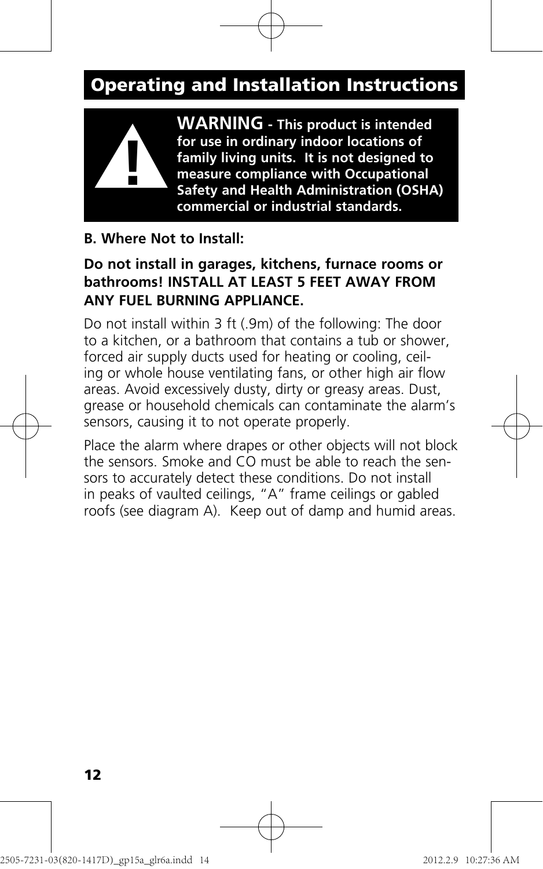

**WARNING - This product is intended for use in ordinary indoor locations of family living units. It is not designed to measure compliance with Occupational Safety and Health Administration (OSHA) commercial or industrial standards.**

#### **B. Where Not to Install:**

#### **Do not install in garages, kitchens, furnace rooms or bathrooms! INSTALL AT LEAST 5 FEET AWAY FROM ANY FUEL BURNING APPLIANCE.**

Do not install within 3 ft (.9m) of the following: The door to a kitchen, or a bathroom that contains a tub or shower, forced air supply ducts used for heating or cooling, ceiling or whole house ventilating fans, or other high air flow areas. Avoid excessively dusty, dirty or greasy areas. Dust, grease or household chemicals can contaminate the alarm's sensors, causing it to not operate properly.

Place the alarm where drapes or other objects will not block the sensors. Smoke and CO must be able to reach the sensors to accurately detect these conditions. Do not install in peaks of vaulted ceilings, "A" frame ceilings or gabled roofs (see diagram A). Keep out of damp and humid areas.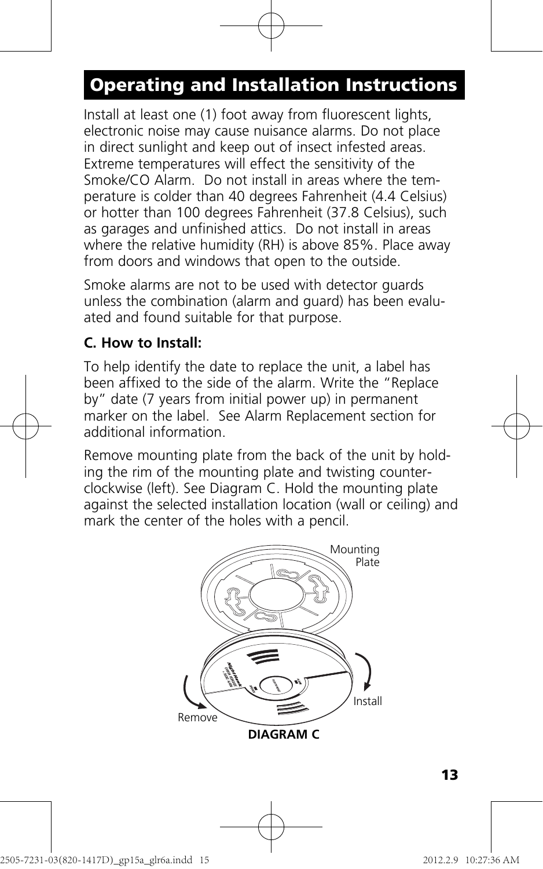Install at least one (1) foot away from fluorescent lights, electronic noise may cause nuisance alarms. Do not place in direct sunlight and keep out of insect infested areas. Extreme temperatures will effect the sensitivity of the Smoke/CO Alarm. Do not install in areas where the temperature is colder than 40 degrees Fahrenheit (4.4 Celsius) or hotter than 100 degrees Fahrenheit (37.8 Celsius), such as garages and unfinished attics. Do not install in areas where the relative humidity (RH) is above 85%. Place away from doors and windows that open to the outside.

Smoke alarms are not to be used with detector guards unless the combination (alarm and guard) has been evaluated and found suitable for that purpose.

#### **C. How to Install:**

To help identify the date to replace the unit, a label has been affixed to the side of the alarm. Write the "Replace by" date (7 years from initial power up) in permanent marker on the label. See Alarm Replacement section for additional information.

Remove mounting plate from the back of the unit by holding the rim of the mounting plate and twisting counterclockwise (left). See Diagram C. Hold the mounting plate against the selected installation location (wall or ceiling) and mark the center of the holes with a pencil.

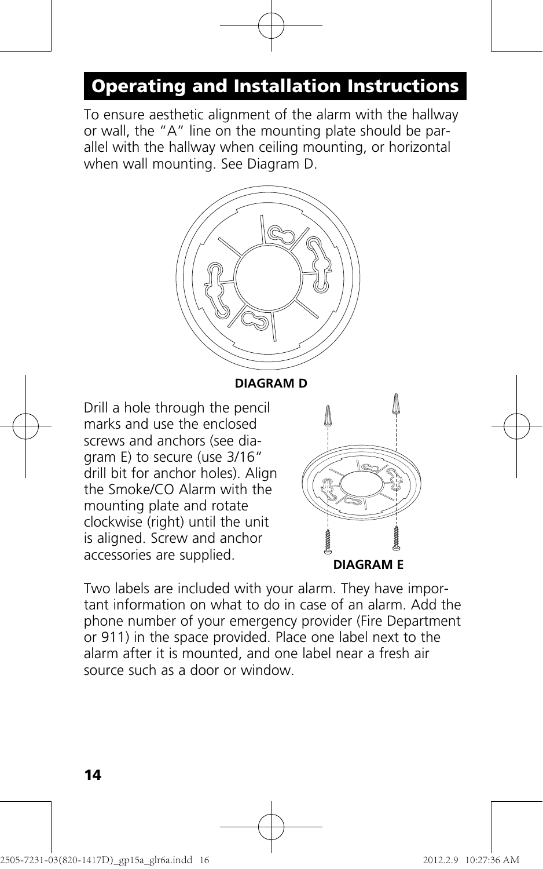To ensure aesthetic alignment of the alarm with the hallway or wall, the "A" line on the mounting plate should be parallel with the hallway when ceiling mounting, or horizontal when wall mounting. See Diagram D.



**DIAGRAM D**

Drill a hole through the pencil marks and use the enclosed screws and anchors (see diagram E) to secure (use 3/16" drill bit for anchor holes). Align the Smoke/CO Alarm with the mounting plate and rotate clockwise (right) until the unit is aligned. Screw and anchor accessories are supplied.



Two labels are included with your alarm. They have important information on what to do in case of an alarm. Add the phone number of your emergency provider (Fire Department or 911) in the space provided. Place one label next to the alarm after it is mounted, and one label near a fresh air source such as a door or window.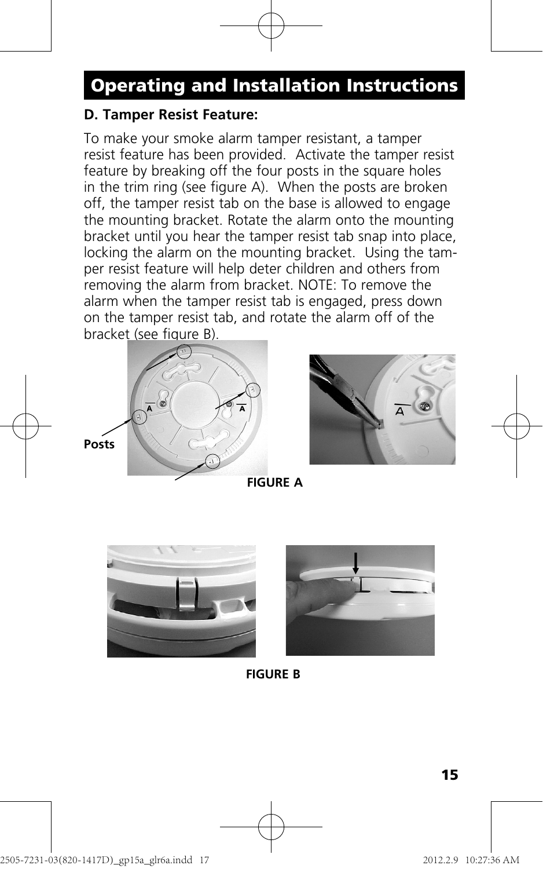#### **D. Tamper Resist Feature:**

To make your smoke alarm tamper resistant, a tamper resist feature has been provided. Activate the tamper resist feature by breaking off the four posts in the square holes in the trim ring (see figure A). When the posts are broken off, the tamper resist tab on the base is allowed to engage the mounting bracket. Rotate the alarm onto the mounting bracket until you hear the tamper resist tab snap into place, locking the alarm on the mounting bracket. Using the tamper resist feature will help deter children and others from removing the alarm from bracket. NOTE: To remove the alarm when the tamper resist tab is engaged, press down on the tamper resist tab, and rotate the alarm off of the bracket (see figure B).





**FIGURE A**





**FIGURE B**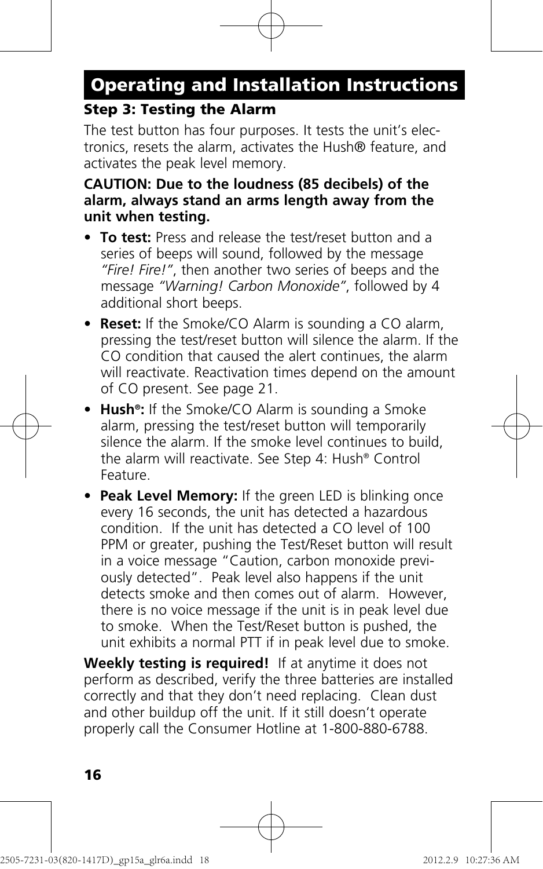#### **Step 3: Testing the Alarm**

The test button has four purposes. It tests the unit's electronics, resets the alarm, activates the Hush® feature, and activates the peak level memory.

#### **CAUTION: Due to the loudness (85 decibels) of the alarm, always stand an arms length away from the unit when testing.**

- **To test:** Press and release the test/reset button and a series of beeps will sound, followed by the message *"Fire! Fire!"*, then another two series of beeps and the message *"Warning! Carbon Monoxide"*, followed by 4 additional short beeps.
- **Reset:** If the Smoke/CO Alarm is sounding a CO alarm, pressing the test/reset button will silence the alarm. If the CO condition that caused the alert continues, the alarm will reactivate. Reactivation times depend on the amount of CO present. See page 21.
- **Hush®:** If the Smoke/CO Alarm is sounding a Smoke alarm, pressing the test/reset button will temporarily silence the alarm. If the smoke level continues to build, the alarm will reactivate. See Step 4: Hush® Control Feature.
- **Peak Level Memory:** If the green LED is blinking once every 16 seconds, the unit has detected a hazardous condition. If the unit has detected a CO level of 100 PPM or greater, pushing the Test/Reset button will result in a voice message "Caution, carbon monoxide previously detected". Peak level also happens if the unit detects smoke and then comes out of alarm. However, there is no voice message if the unit is in peak level due to smoke. When the Test/Reset button is pushed, the unit exhibits a normal PTT if in peak level due to smoke.

**Weekly testing is required!** If at anytime it does not perform as described, verify the three batteries are installed correctly and that they don't need replacing. Clean dust and other buildup off the unit. If it still doesn't operate properly call the Consumer Hotline at 1-800-880-6788.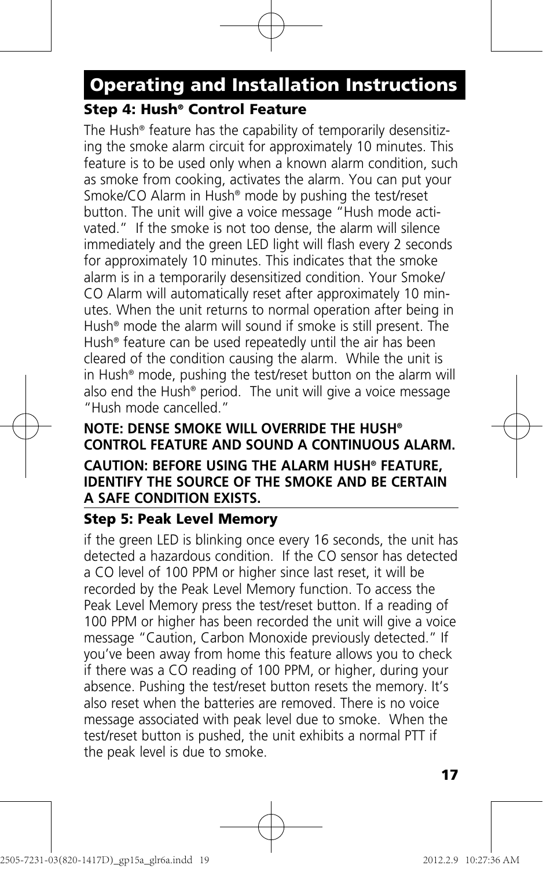### **Step 4: Hush® Control Feature**

The Hush® feature has the capability of temporarily desensitizing the smoke alarm circuit for approximately 10 minutes. This feature is to be used only when a known alarm condition, such as smoke from cooking, activates the alarm. You can put your Smoke/CO Alarm in Hush® mode by pushing the test/reset button. The unit will give a voice message "Hush mode activated." If the smoke is not too dense, the alarm will silence immediately and the green LED light will flash every 2 seconds for approximately 10 minutes. This indicates that the smoke alarm is in a temporarily desensitized condition. Your Smoke/ CO Alarm will automatically reset after approximately 10 minutes. When the unit returns to normal operation after being in Hush® mode the alarm will sound if smoke is still present. The Hush® feature can be used repeatedly until the air has been cleared of the condition causing the alarm. While the unit is in Hush® mode, pushing the test/reset button on the alarm will also end the Hush® period. The unit will give a voice message "Hush mode cancelled."

#### **NOTE: DENSE SMOKE WILL OVERRIDE THE HUSH® CONTROL FEATURE AND SOUND A CONTINUOUS ALARM. CAUTION: BEFORE USING THE ALARM HUSH® FEATURE, IDENTIFY THE SOURCE OF THE SMOKE AND BE CERTAIN A SAFE CONDITION EXISTS.**

#### **Step 5: Peak Level Memory**

if the green LED is blinking once every 16 seconds, the unit has detected a hazardous condition. If the CO sensor has detected a CO level of 100 PPM or higher since last reset, it will be recorded by the Peak Level Memory function. To access the Peak Level Memory press the test/reset button. If a reading of 100 PPM or higher has been recorded the unit will give a voice message "Caution, Carbon Monoxide previously detected." If you've been away from home this feature allows you to check if there was a CO reading of 100 PPM, or higher, during your absence. Pushing the test/reset button resets the memory. It's also reset when the batteries are removed. There is no voice message associated with peak level due to smoke. When the test/reset button is pushed, the unit exhibits a normal PTT if the peak level is due to smoke.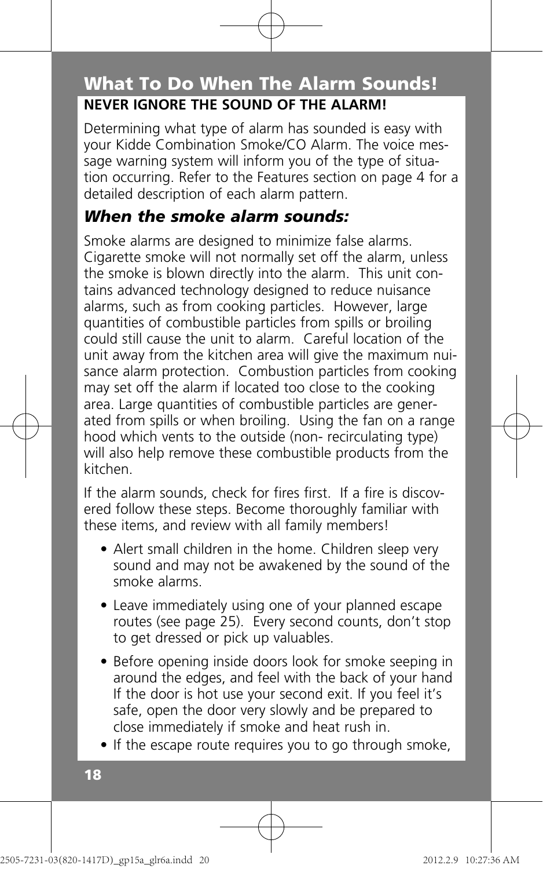### **NEVER IGNORE THE SOUND OF THE ALARM! What To Do When The Alarm Sounds!**

Determining what type of alarm has sounded is easy with your Kidde Combination Smoke/CO Alarm. The voice message warning system will inform you of the type of situation occurring. Refer to the Features section on page 4 for a detailed description of each alarm pattern.

#### *When the smoke alarm sounds:*

Smoke alarms are designed to minimize false alarms. Cigarette smoke will not normally set off the alarm, unless the smoke is blown directly into the alarm. This unit contains advanced technology designed to reduce nuisance alarms, such as from cooking particles. However, large quantities of combustible particles from spills or broiling could still cause the unit to alarm. Careful location of the unit away from the kitchen area will give the maximum nuisance alarm protection. Combustion particles from cooking may set off the alarm if located too close to the cooking area. Large quantities of combustible particles are generated from spills or when broiling. Using the fan on a range hood which vents to the outside (non- recirculating type) will also help remove these combustible products from the kitchen.

If the alarm sounds, check for fires first. If a fire is discovered follow these steps. Become thoroughly familiar with these items, and review with all family members!

- Alert small children in the home. Children sleep very sound and may not be awakened by the sound of the smoke alarms.
- Leave immediately using one of your planned escape routes (see page 25). Every second counts, don't stop to get dressed or pick up valuables.
- Before opening inside doors look for smoke seeping in around the edges, and feel with the back of your hand If the door is hot use your second exit. If you feel it's safe, open the door very slowly and be prepared to close immediately if smoke and heat rush in.
- If the escape route requires you to go through smoke,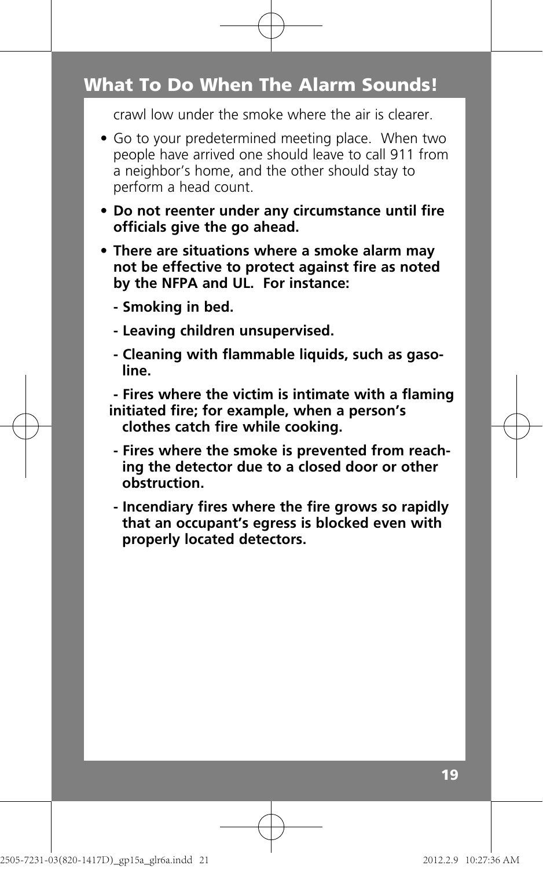### **What To Do When The Alarm Sounds!**

crawl low under the smoke where the air is clearer.

- Go to your predetermined meeting place. When two people have arrived one should leave to call 911 from a neighbor's home, and the other should stay to perform a head count.
- **Do not reenter under any circumstance until fire officials give the go ahead.**
- **There are situations where a smoke alarm may not be effective to protect against fire as noted by the NFPA and UL. For instance:**
	- **Smoking in bed.**
	- **Leaving children unsupervised.**
	- **Cleaning with flammable liquids, such as gaso line.**
	- **Fires where the victim is intimate with a flaming initiated fire; for example, when a person's** 
		- **clothes catch fire while cooking.**
	- **Fires where the smoke is prevented from reach ing the detector due to a closed door or other obstruction.**
	- **Incendiary fires where the fire grows so rapidly that an occupant's egress is blocked even with properly located detectors.**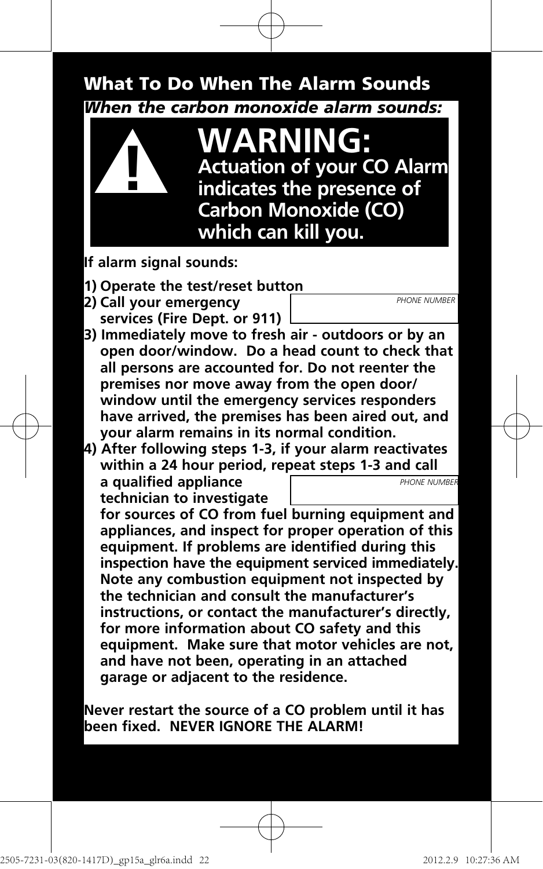### *When the carbon monoxide alarm sounds:* **What To Do When The Alarm Sounds**



- **If alarm signal sounds:**
- **1) Operate the test/reset button**
- **2) Call your emergency services (Fire Dept. or 911)**
- **3) Immediately move to fresh air outdoors or by an open door/window. Do a head count to check that all persons are accounted for. Do not reenter the premises nor move away from the open door/ window until the emergency services responders have arrived, the premises has been aired out, and your alarm remains in its normal condition.**
- **4) After following steps 1-3, if your alarm reactivates within a 24 hour period, repeat steps 1-3 and call a qualified appliance technician to investigate** *PHONE NUMBER*

 **for sources of CO from fuel burning equipment and appliances, and inspect for proper operation of this equipment. If problems are identified during this inspection have the equipment serviced immediately. Note any combustion equipment not inspected by the technician and consult the manufacturer's instructions, or contact the manufacturer's directly, for more information about CO safety and this equipment. Make sure that motor vehicles are not, and have not been, operating in an attached garage or adjacent to the residence.**

**Never restart the source of a CO problem until it has been fixed. NEVER IGNORE THE ALARM!**

*PHONE NUMBER*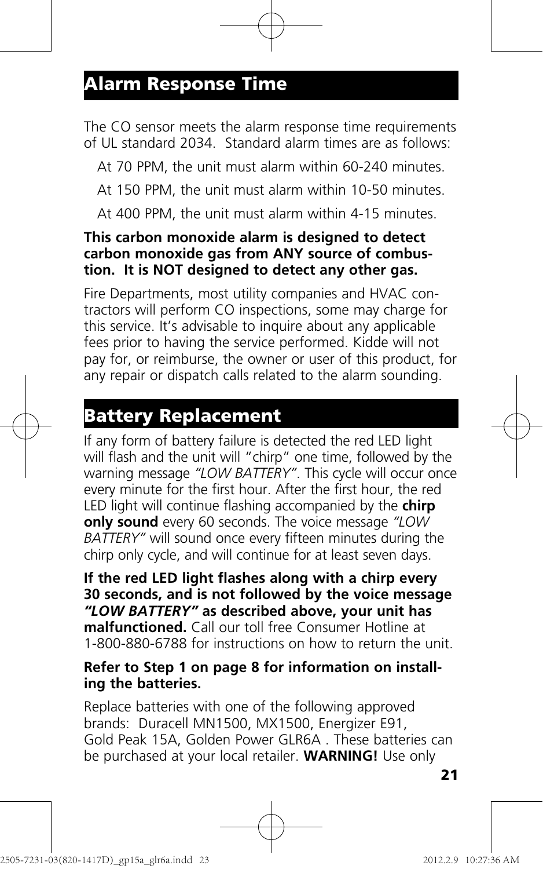The CO sensor meets the alarm response time requirements of UL standard 2034. Standard alarm times are as follows:

At 70 PPM, the unit must alarm within 60-240 minutes.

At 150 PPM, the unit must alarm within 10-50 minutes.

At 400 PPM, the unit must alarm within 4-15 minutes.

#### **This carbon monoxide alarm is designed to detect carbon monoxide gas from ANY source of combustion. It is NOT designed to detect any other gas.**

Fire Departments, most utility companies and HVAC contractors will perform CO inspections, some may charge for this service. It's advisable to inquire about any applicable fees prior to having the service performed. Kidde will not pay for, or reimburse, the owner or user of this product, for any repair or dispatch calls related to the alarm sounding.

### **Battery Replacement**

If any form of battery failure is detected the red LED light will flash and the unit will "chirp" one time, followed by the warning message *"LOW BATTERY"*. This cycle will occur once every minute for the first hour. After the first hour, the red LED light will continue flashing accompanied by the **chirp only sound** every 60 seconds. The voice message *"LOW BATTERY"* will sound once every fifteen minutes during the chirp only cycle, and will continue for at least seven days.

**If the red LED light flashes along with a chirp every 30 seconds, and is not followed by the voice message**  *"LOW BATTERY"* **as described above, your unit has malfunctioned.** Call our toll free Consumer Hotline at 1-800-880-6788 for instructions on how to return the unit.

#### **Refer to Step 1 on page 8 for information on installing the batteries.**

Replace batteries with one of the following approved brands: Duracell MN1500, MX1500, Energizer E91, Gold Peak 15A, Golden Power GLR6A . These batteries can be purchased at your local retailer. **WARNING!** Use only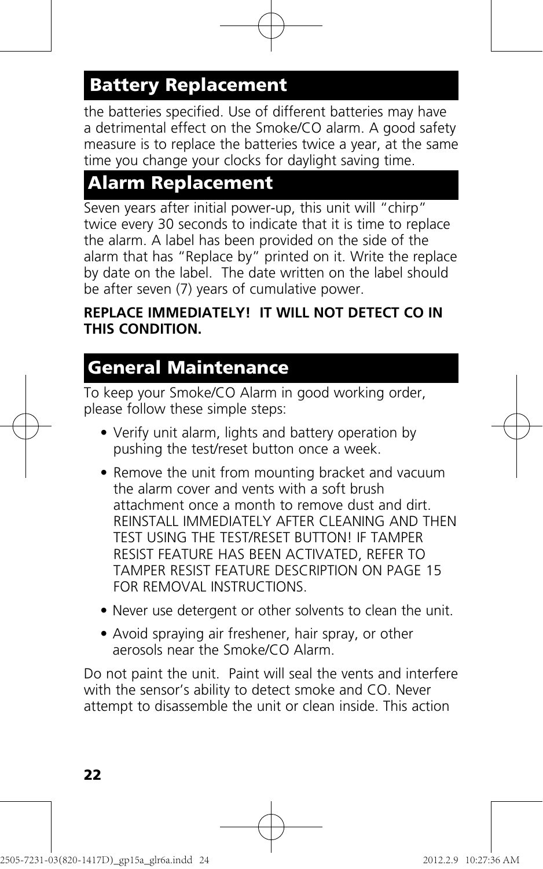## **Battery Replacement**

the batteries specified. Use of different batteries may have a detrimental effect on the Smoke/CO alarm. A good safety measure is to replace the batteries twice a year, at the same time you change your clocks for daylight saving time.

### **Alarm Replacement**

Seven years after initial power-up, this unit will "chirp" twice every 30 seconds to indicate that it is time to replace the alarm. A label has been provided on the side of the alarm that has "Replace by" printed on it. Write the replace by date on the label. The date written on the label should be after seven (7) years of cumulative power.

#### **REPLACE IMMEDIATELY! IT WILL NOT DETECT CO IN THIS CONDITION.**

### **General Maintenance**

To keep your Smoke/CO Alarm in good working order, please follow these simple steps:

- Verify unit alarm, lights and battery operation by pushing the test/reset button once a week.
- Remove the unit from mounting bracket and vacuum the alarm cover and vents with a soft brush attachment once a month to remove dust and dirt. REINSTALL IMMEDIATELY AFTER CLEANING AND THEN TEST USING THE TEST/RESET BUTTON! IF TAMPER RESIST FEATURE HAS BEEN ACTIVATED, REFER TO TAMPER RESIST FEATURE DESCRIPTION ON PAGE 15 FOR REMOVAL INSTRUCTIONS.
- Never use detergent or other solvents to clean the unit.
- Avoid spraying air freshener, hair spray, or other aerosols near the Smoke/CO Alarm.

Do not paint the unit. Paint will seal the vents and interfere with the sensor's ability to detect smoke and CO. Never attempt to disassemble the unit or clean inside. This action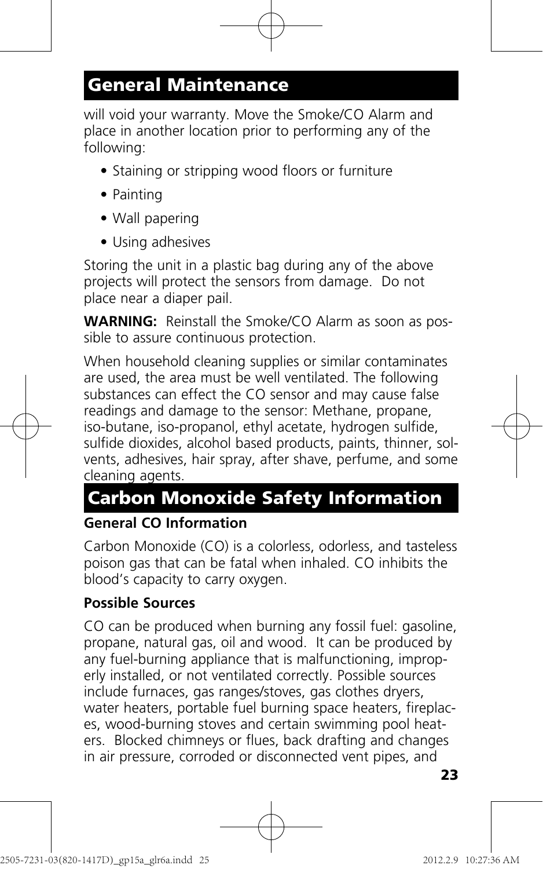### **General Maintenance**

will void your warranty. Move the Smoke/CO Alarm and place in another location prior to performing any of the following:

- Staining or stripping wood floors or furniture
- Painting
- Wall papering
- Using adhesives

Storing the unit in a plastic bag during any of the above projects will protect the sensors from damage. Do not place near a diaper pail.

**WARNING:** Reinstall the Smoke/CO Alarm as soon as possible to assure continuous protection.

When household cleaning supplies or similar contaminates are used, the area must be well ventilated. The following substances can effect the CO sensor and may cause false readings and damage to the sensor: Methane, propane, iso-butane, iso-propanol, ethyl acetate, hydrogen sulfide, sulfide dioxides, alcohol based products, paints, thinner, solvents, adhesives, hair spray, after shave, perfume, and some cleaning agents.

### **Carbon Monoxide Safety Information**

#### **General CO Information**

Carbon Monoxide (CO) is a colorless, odorless, and tasteless poison gas that can be fatal when inhaled. CO inhibits the blood's capacity to carry oxygen.

#### **Possible Sources**

CO can be produced when burning any fossil fuel: gasoline, propane, natural gas, oil and wood. It can be produced by any fuel-burning appliance that is malfunctioning, improperly installed, or not ventilated correctly. Possible sources include furnaces, gas ranges/stoves, gas clothes dryers, water heaters, portable fuel burning space heaters, fireplaces, wood-burning stoves and certain swimming pool heaters. Blocked chimneys or flues, back drafting and changes in air pressure, corroded or disconnected vent pipes, and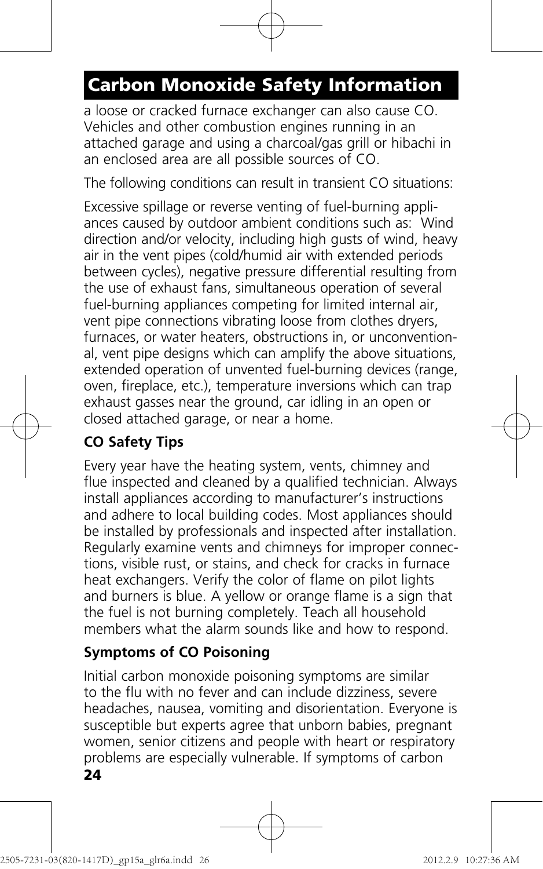# **Carbon Monoxide Safety Information**

a loose or cracked furnace exchanger can also cause CO. Vehicles and other combustion engines running in an attached garage and using a charcoal/gas grill or hibachi in an enclosed area are all possible sources of CO.

The following conditions can result in transient CO situations:

Excessive spillage or reverse venting of fuel-burning appliances caused by outdoor ambient conditions such as: Wind direction and/or velocity, including high gusts of wind, heavy air in the vent pipes (cold/humid air with extended periods between cycles), negative pressure differential resulting from the use of exhaust fans, simultaneous operation of several fuel-burning appliances competing for limited internal air, vent pipe connections vibrating loose from clothes dryers, furnaces, or water heaters, obstructions in, or unconventional, vent pipe designs which can amplify the above situations, extended operation of unvented fuel-burning devices (range, oven, fireplace, etc.), temperature inversions which can trap exhaust gasses near the ground, car idling in an open or closed attached garage, or near a home.

### **CO Safety Tips**

Every year have the heating system, vents, chimney and flue inspected and cleaned by a qualified technician. Always install appliances according to manufacturer's instructions and adhere to local building codes. Most appliances should be installed by professionals and inspected after installation. Regularly examine vents and chimneys for improper connections, visible rust, or stains, and check for cracks in furnace heat exchangers. Verify the color of flame on pilot lights and burners is blue. A yellow or orange flame is a sign that the fuel is not burning completely. Teach all household members what the alarm sounds like and how to respond.

#### **Symptoms of CO Poisoning**

Initial carbon monoxide poisoning symptoms are similar to the flu with no fever and can include dizziness, severe headaches, nausea, vomiting and disorientation. Everyone is susceptible but experts agree that unborn babies, pregnant women, senior citizens and people with heart or respiratory problems are especially vulnerable. If symptoms of carbon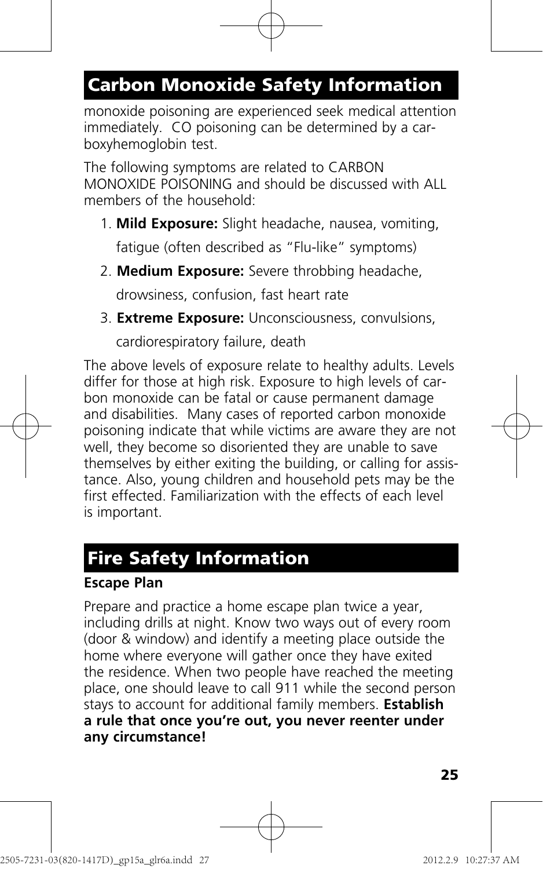# **Carbon Monoxide Safety Information**

monoxide poisoning are experienced seek medical attention immediately. CO poisoning can be determined by a carboxyhemoglobin test.

The following symptoms are related to CARBON MONOXIDE POISONING and should be discussed with ALL members of the household:

- 1. **Mild Exposure:** Slight headache, nausea, vomiting, fatigue (often described as "Flu-like" symptoms)
- 2. **Medium Exposure:** Severe throbbing headache,

drowsiness, confusion, fast heart rate

3. **Extreme Exposure:** Unconsciousness, convulsions,

cardiorespiratory failure, death

The above levels of exposure relate to healthy adults. Levels differ for those at high risk. Exposure to high levels of carbon monoxide can be fatal or cause permanent damage and disabilities. Many cases of reported carbon monoxide poisoning indicate that while victims are aware they are not well, they become so disoriented they are unable to save themselves by either exiting the building, or calling for assistance. Also, young children and household pets may be the first effected. Familiarization with the effects of each level is important.

### **Fire Safety Information**

#### **Escape Plan**

Prepare and practice a home escape plan twice a year, including drills at night. Know two ways out of every room (door & window) and identify a meeting place outside the home where everyone will gather once they have exited the residence. When two people have reached the meeting place, one should leave to call 911 while the second person stays to account for additional family members. **Establish a rule that once you're out, you never reenter under any circumstance!**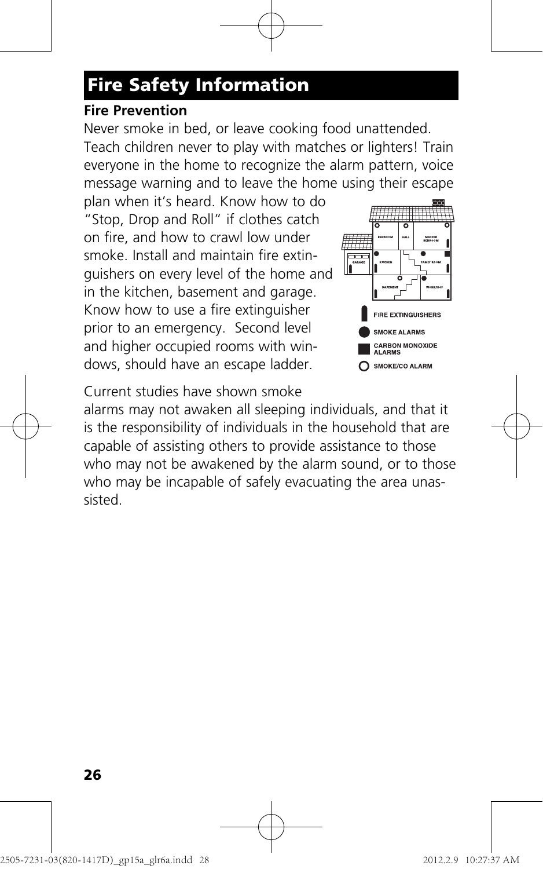# **Fire Safety Information**

#### **Fire Prevention**

Never smoke in bed, or leave cooking food unattended. Teach children never to play with matches or lighters! Train everyone in the home to recognize the alarm pattern, voice message warning and to leave the home using their escape

plan when it's heard. Know how to do "Stop, Drop and Roll" if clothes catch on fire, and how to crawl low under smoke. Install and maintain fire extinguishers on every level of the home and in the kitchen, basement and garage. Know how to use a fire extinguisher prior to an emergency. Second level and higher occupied rooms with windows, should have an escape ladder.



Current studies have shown smoke

alarms may not awaken all sleeping individuals, and that it is the responsibility of individuals in the household that are capable of assisting others to provide assistance to those who may not be awakened by the alarm sound, or to those who may be incapable of safely evacuating the area unassisted.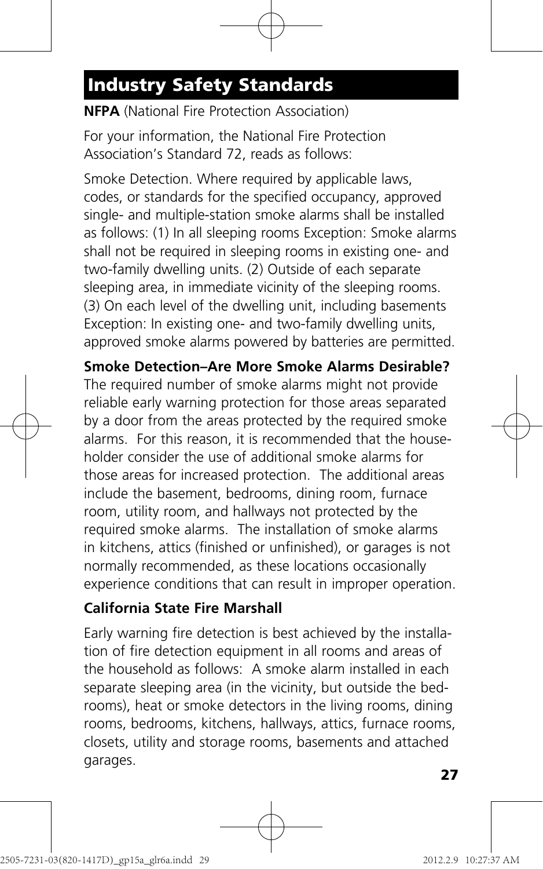# **Industry Safety Standards**

#### **NFPA** (National Fire Protection Association)

For your information, the National Fire Protection Association's Standard 72, reads as follows:

Smoke Detection. Where required by applicable laws, codes, or standards for the specified occupancy, approved single- and multiple-station smoke alarms shall be installed as follows: (1) In all sleeping rooms Exception: Smoke alarms shall not be required in sleeping rooms in existing one- and two-family dwelling units. (2) Outside of each separate sleeping area, in immediate vicinity of the sleeping rooms. (3) On each level of the dwelling unit, including basements Exception: In existing one- and two-family dwelling units, approved smoke alarms powered by batteries are permitted.

**Smoke Detection–Are More Smoke Alarms Desirable?** The required number of smoke alarms might not provide reliable early warning protection for those areas separated by a door from the areas protected by the required smoke alarms. For this reason, it is recommended that the householder consider the use of additional smoke alarms for those areas for increased protection. The additional areas include the basement, bedrooms, dining room, furnace room, utility room, and hallways not protected by the required smoke alarms. The installation of smoke alarms in kitchens, attics (finished or unfinished), or garages is not normally recommended, as these locations occasionally experience conditions that can result in improper operation.

#### **California State Fire Marshall**

Early warning fire detection is best achieved by the installation of fire detection equipment in all rooms and areas of the household as follows: A smoke alarm installed in each separate sleeping area (in the vicinity, but outside the bedrooms), heat or smoke detectors in the living rooms, dining rooms, bedrooms, kitchens, hallways, attics, furnace rooms, closets, utility and storage rooms, basements and attached garages.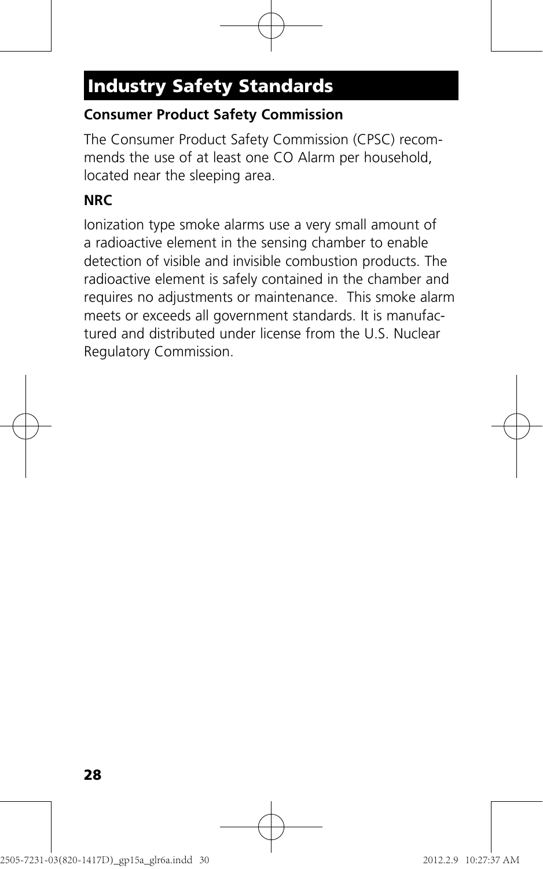# **Industry Safety Standards**

#### **Consumer Product Safety Commission**

The Consumer Product Safety Commission (CPSC) recommends the use of at least one CO Alarm per household, located near the sleeping area.

#### **NRC**

Ionization type smoke alarms use a very small amount of a radioactive element in the sensing chamber to enable detection of visible and invisible combustion products. The radioactive element is safely contained in the chamber and requires no adjustments or maintenance. This smoke alarm meets or exceeds all government standards. It is manufactured and distributed under license from the U.S. Nuclear Regulatory Commission.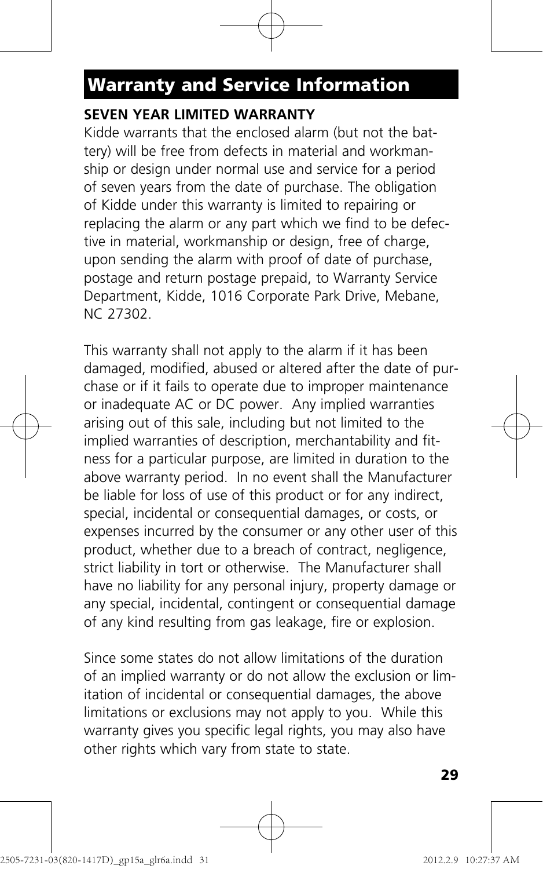# **Warranty and Service Information**

#### **SEVEN YEAR LIMITED WARRANTY**

Kidde warrants that the enclosed alarm (but not the battery) will be free from defects in material and workmanship or design under normal use and service for a period of seven years from the date of purchase. The obligation of Kidde under this warranty is limited to repairing or replacing the alarm or any part which we find to be defective in material, workmanship or design, free of charge, upon sending the alarm with proof of date of purchase, postage and return postage prepaid, to Warranty Service Department, Kidde, 1016 Corporate Park Drive, Mebane, NC 27302.

This warranty shall not apply to the alarm if it has been damaged, modified, abused or altered after the date of purchase or if it fails to operate due to improper maintenance or inadequate AC or DC power. Any implied warranties arising out of this sale, including but not limited to the implied warranties of description, merchantability and fitness for a particular purpose, are limited in duration to the above warranty period. In no event shall the Manufacturer be liable for loss of use of this product or for any indirect, special, incidental or consequential damages, or costs, or expenses incurred by the consumer or any other user of this product, whether due to a breach of contract, negligence, strict liability in tort or otherwise. The Manufacturer shall have no liability for any personal injury, property damage or any special, incidental, contingent or consequential damage of any kind resulting from gas leakage, fire or explosion.

Since some states do not allow limitations of the duration of an implied warranty or do not allow the exclusion or limitation of incidental or consequential damages, the above limitations or exclusions may not apply to you. While this warranty gives you specific legal rights, you may also have other rights which vary from state to state.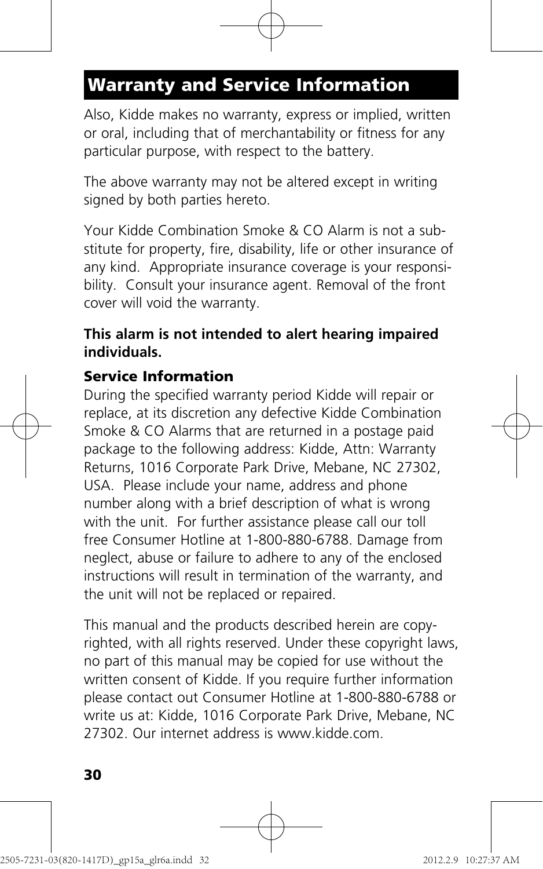# **Warranty and Service Information**

Also, Kidde makes no warranty, express or implied, written or oral, including that of merchantability or fitness for any particular purpose, with respect to the battery.

The above warranty may not be altered except in writing signed by both parties hereto.

Your Kidde Combination Smoke & CO Alarm is not a substitute for property, fire, disability, life or other insurance of any kind. Appropriate insurance coverage is your responsibility. Consult your insurance agent. Removal of the front cover will void the warranty.

#### **This alarm is not intended to alert hearing impaired individuals.**

#### **Service Information**

During the specified warranty period Kidde will repair or replace, at its discretion any defective Kidde Combination Smoke & CO Alarms that are returned in a postage paid package to the following address: Kidde, Attn: Warranty Returns, 1016 Corporate Park Drive, Mebane, NC 27302, USA. Please include your name, address and phone number along with a brief description of what is wrong with the unit. For further assistance please call our toll free Consumer Hotline at 1-800-880-6788. Damage from neglect, abuse or failure to adhere to any of the enclosed instructions will result in termination of the warranty, and the unit will not be replaced or repaired.

This manual and the products described herein are copyrighted, with all rights reserved. Under these copyright laws, no part of this manual may be copied for use without the written consent of Kidde. If you require further information please contact out Consumer Hotline at 1-800-880-6788 or write us at: Kidde, 1016 Corporate Park Drive, Mebane, NC 27302. Our internet address is www.kidde.com.